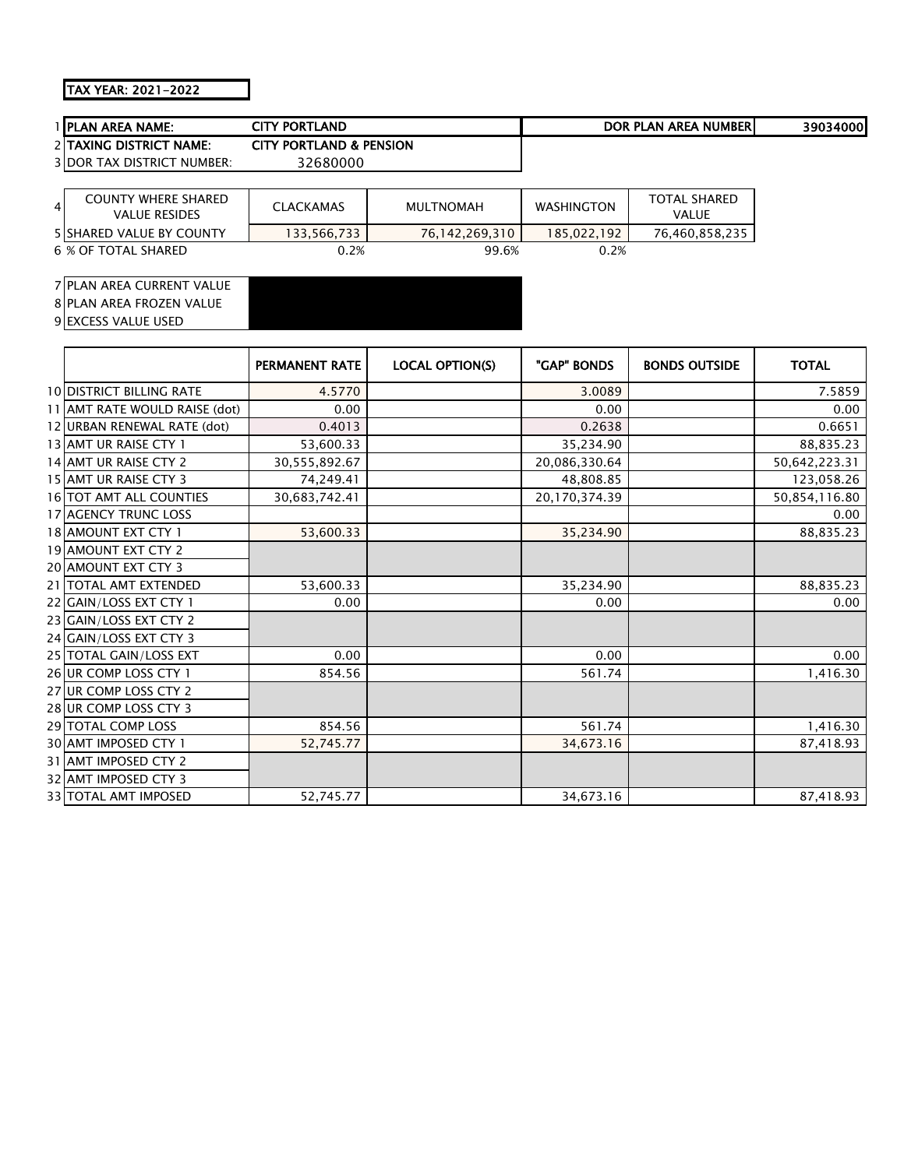## TAX YEAR: 2021-2022

| I IPLAN AREA NAME:                                                   | <b>CITY PORTLAND</b>               |                  |                   | DOR PLAN AREA NUMBERI               | 39034000 |
|----------------------------------------------------------------------|------------------------------------|------------------|-------------------|-------------------------------------|----------|
| 2 <b>TAXING DISTRICT NAME:</b>                                       | <b>CITY PORTLAND &amp; PENSION</b> |                  |                   |                                     |          |
| <b>3IDOR TAX DISTRICT NUMBER:</b>                                    | 32680000                           |                  |                   |                                     |          |
|                                                                      |                                    |                  |                   |                                     |          |
| <b>COUNTY WHERE SHARED</b><br>$\overline{4}$<br><b>VALUE RESIDES</b> | <b>CLACKAMAS</b>                   | <b>MULTNOMAH</b> | <b>WASHINGTON</b> | <b>TOTAL SHARED</b><br><b>VALUE</b> |          |
| <b>5 ISHARED VALUE BY COUNTY</b>                                     | 133,566,733                        | 76,142,269,310   | 185,022,192       | 76,460,858,235                      |          |
| 6 % OF TOTAL SHARED                                                  | 0.2%                               | 99.6%            | 0.2%              |                                     |          |
|                                                                      |                                    |                  |                   |                                     |          |

#### PLAN AREA CURRENT VALUE 8 PLAN AREA FROZEN VALUE 9 EXCESS VALUE USED

|                                 | PERMANENT RATE | <b>LOCAL OPTION(S)</b> | "GAP" BONDS   | <b>BONDS OUTSIDE</b> | <b>TOTAL</b>  |
|---------------------------------|----------------|------------------------|---------------|----------------------|---------------|
| <b>10 DISTRICT BILLING RATE</b> | 4.5770         |                        | 3.0089        |                      | 7.5859        |
| 11 AMT RATE WOULD RAISE (dot)   | 0.00           |                        | 0.00          |                      | 0.00          |
| 12 URBAN RENEWAL RATE (dot)     | 0.4013         |                        | 0.2638        |                      | 0.6651        |
| 13 AMT UR RAISE CTY 1           | 53,600.33      |                        | 35,234.90     |                      | 88,835.23     |
| 14 AMT UR RAISE CTY 2           | 30,555,892.67  |                        | 20,086,330.64 |                      | 50,642,223.31 |
| 15 AMT UR RAISE CTY 3           | 74,249.41      |                        | 48,808.85     |                      | 123,058.26    |
| 16 TOT AMT ALL COUNTIES         | 30,683,742.41  |                        | 20,170,374.39 |                      | 50,854,116.80 |
| 17 AGENCY TRUNC LOSS            |                |                        |               |                      | 0.00          |
| 18 AMOUNT EXT CTY 1             | 53,600.33      |                        | 35,234.90     |                      | 88,835.23     |
| 19 AMOUNT EXT CTY 2             |                |                        |               |                      |               |
| <b>20 AMOUNT EXT CTY 3</b>      |                |                        |               |                      |               |
| 21   TOTAL AMT EXTENDED         | 53,600.33      |                        | 35,234.90     |                      | 88,835.23     |
| 22 GAIN/LOSS EXT CTY 1          | 0.00           |                        | 0.00          |                      | 0.00          |
| 23 GAIN/LOSS EXT CTY 2          |                |                        |               |                      |               |
| 24 GAIN/LOSS EXT CTY 3          |                |                        |               |                      |               |
| 25 TOTAL GAIN/LOSS EXT          | 0.00           |                        | 0.00          |                      | 0.00          |
| 26 UR COMP LOSS CTY 1           | 854.56         |                        | 561.74        |                      | 1,416.30      |
| 27 UR COMP LOSS CTY 2           |                |                        |               |                      |               |
| 28 UR COMP LOSS CTY 3           |                |                        |               |                      |               |
| 29 TOTAL COMP LOSS              | 854.56         |                        | 561.74        |                      | 1,416.30      |
| 30 AMT IMPOSED CTY 1            | 52,745.77      |                        | 34,673.16     |                      | 87,418.93     |
| 31 AMT IMPOSED CTY 2            |                |                        |               |                      |               |
| 32 AMT IMPOSED CTY 3            |                |                        |               |                      |               |
| <b>33 TOTAL AMT IMPOSED</b>     | 52,745.77      |                        | 34,673.16     |                      | 87,418.93     |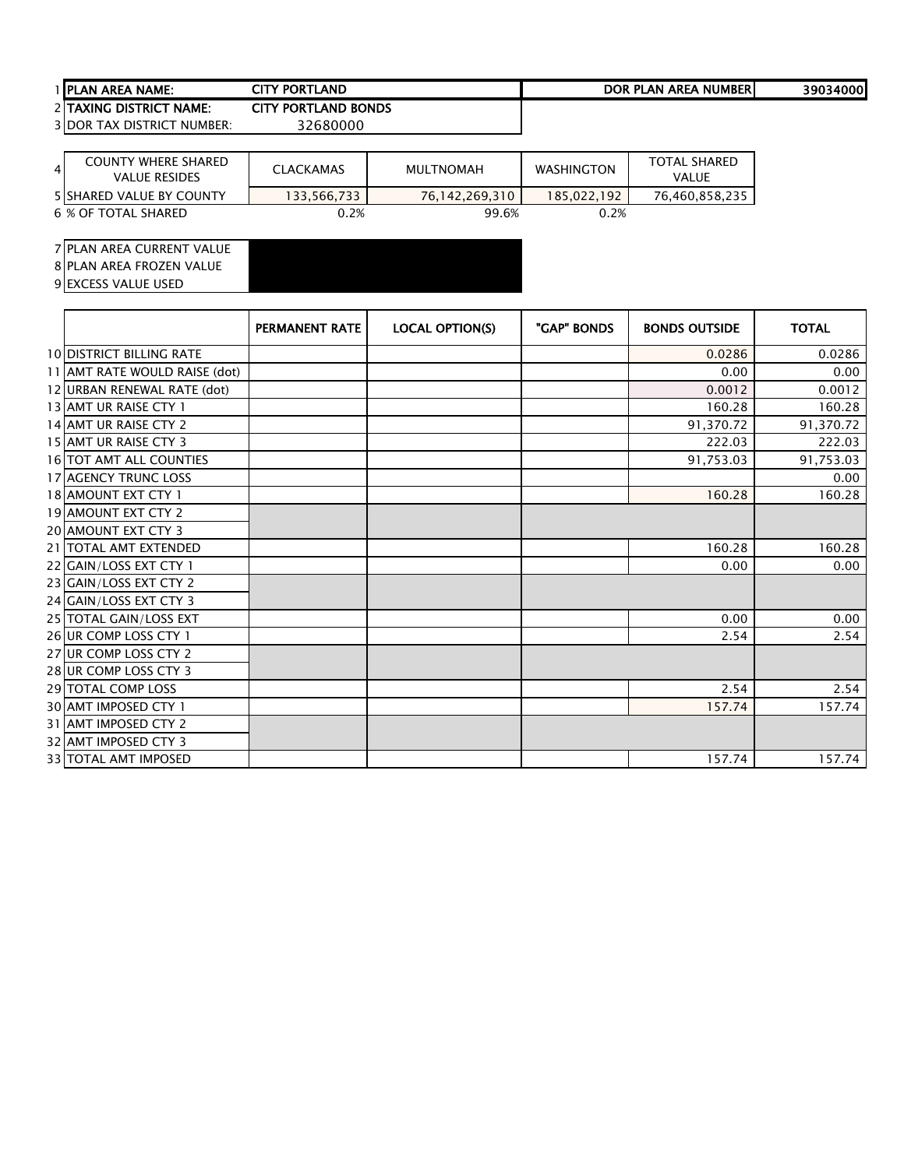# PLAN AREA NAME: 39034000 CITY PORTLAND DOR PLAN AREA NUMBER2 TAXING DISTRICT NAME: CITY PORTLAND BONDS<br>3 DOR TAX DISTRICT NUMBER: 32680000

3 DOR TAX DISTRICT NUMBER:

| $\overline{4}$ | <b>COUNTY WHERE SHARED</b><br><b>VALUE RESIDES</b> | <b>CLACKAMAS</b> | MULTNOMAH      | <b>WASHINGTON</b> | <b>TOTAL SHARED</b><br>VALUE |
|----------------|----------------------------------------------------|------------------|----------------|-------------------|------------------------------|
|                | <b>5 ISHARED VALUE BY COUNTY</b>                   | 133.566.733      | 76.142.269.310 | 185.022.192       | 76,460,858,235               |
|                | 6 % OF TOTAL SHARED                                | 0.2%             | 99.6%          | 0.2%              |                              |

PLAN AREA CURRENT VALUE

8 PLAN AREA FROZEN VALUE

|                                 | <b>PERMANENT RATE</b> | <b>LOCAL OPTION(S)</b> | "GAP" BONDS | <b>BONDS OUTSIDE</b> | <b>TOTAL</b> |
|---------------------------------|-----------------------|------------------------|-------------|----------------------|--------------|
| <b>10 DISTRICT BILLING RATE</b> |                       |                        |             | 0.0286               | 0.0286       |
| 11 AMT RATE WOULD RAISE (dot)   |                       |                        |             | 0.00                 | 0.00         |
| 12 URBAN RENEWAL RATE (dot)     |                       |                        |             | 0.0012               | 0.0012       |
| 13 AMT UR RAISE CTY 1           |                       |                        |             | 160.28               | 160.28       |
| 14 AMT UR RAISE CTY 2           |                       |                        |             | 91,370.72            | 91,370.72    |
| 15 AMT UR RAISE CTY 3           |                       |                        |             | 222.03               | 222.03       |
| <b>16 TOT AMT ALL COUNTIES</b>  |                       |                        |             | 91,753.03            | 91,753.03    |
| <b>17 AGENCY TRUNC LOSS</b>     |                       |                        |             |                      | 0.00         |
| 18 AMOUNT EXT CTY 1             |                       |                        |             | 160.28               | 160.28       |
| <b>19 AMOUNT EXT CTY 2</b>      |                       |                        |             |                      |              |
| 20 AMOUNT EXT CTY 3             |                       |                        |             |                      |              |
| 21 TOTAL AMT EXTENDED           |                       |                        |             | 160.28               | 160.28       |
| 22 GAIN/LOSS EXT CTY 1          |                       |                        |             | 0.00                 | 0.00         |
| 23 GAIN/LOSS EXT CTY 2          |                       |                        |             |                      |              |
| 24 GAIN/LOSS EXT CTY 3          |                       |                        |             |                      |              |
| 25 TOTAL GAIN/LOSS EXT          |                       |                        |             | 0.00                 | 0.00         |
| 26 UR COMP LOSS CTY 1           |                       |                        |             | 2.54                 | 2.54         |
| 27 UR COMP LOSS CTY 2           |                       |                        |             |                      |              |
| 28 UR COMP LOSS CTY 3           |                       |                        |             |                      |              |
| 29 TOTAL COMP LOSS              |                       |                        |             | 2.54                 | 2.54         |
| 30 AMT IMPOSED CTY 1            |                       |                        |             | 157.74               | 157.74       |
| 31 AMT IMPOSED CTY 2            |                       |                        |             |                      |              |
| 32 AMT IMPOSED CTY 3            |                       |                        |             |                      |              |
| <b>33 TOTAL AMT IMPOSED</b>     |                       |                        |             | 157.74               | 157.74       |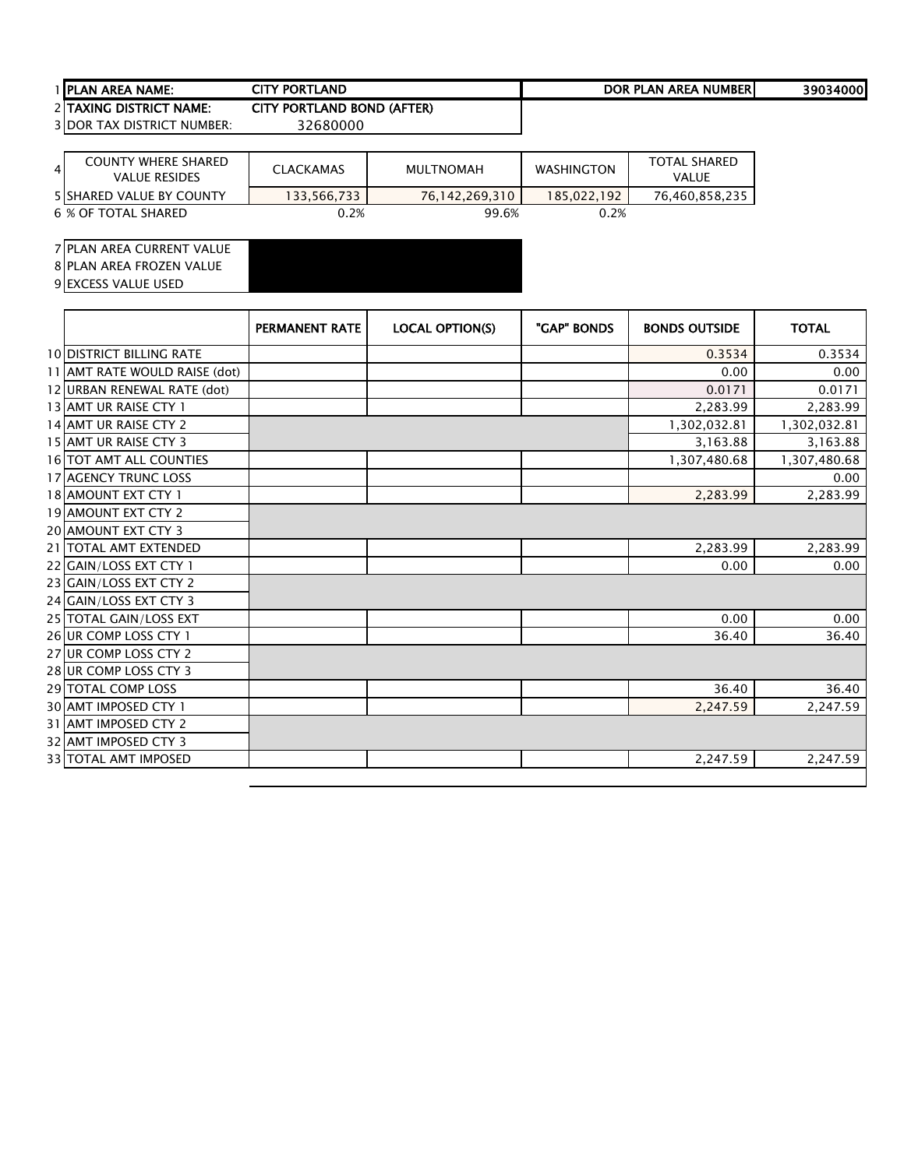# PLAN AREA NAME: 39034000 CITY PORTLAND DOR PLAN AREA NUMBER2 TAXING DISTRICT NAME: CITY PORTLAND BOND (AFTER)<br>3 DOR TAX DISTRICT NUMBER: 32680000

3 DOR TAX DISTRICT NUMBER:

| $\overline{4}$ | <b>COUNTY WHERE SHARED</b><br><b>VALUE RESIDES</b> | <b>CLACKAMAS</b> | <b>MULTNOMAH</b> | <b>WASHINGTON</b> | <b>TOTAL SHARED</b><br>VALUE |
|----------------|----------------------------------------------------|------------------|------------------|-------------------|------------------------------|
|                | <b>5 SHARED VALUE BY COUNTY</b>                    | 133,566,733      | 76,142,269,310   | 185.022.192       | 76,460,858,235               |
|                | 6 % OF TOTAL SHARED                                | 0.2%             | 99.6%            | 0.2%              |                              |

PLAN AREA CURRENT VALUE

PLAN AREA FROZEN VALUE

|                                 | <b>PERMANENT RATE</b> | <b>LOCAL OPTION(S)</b> | "GAP" BONDS | <b>BONDS OUTSIDE</b> | <b>TOTAL</b> |
|---------------------------------|-----------------------|------------------------|-------------|----------------------|--------------|
| <b>10 DISTRICT BILLING RATE</b> |                       |                        |             | 0.3534               | 0.3534       |
| 11 AMT RATE WOULD RAISE (dot)   |                       |                        |             | 0.00                 | 0.00         |
| 12 URBAN RENEWAL RATE (dot)     |                       |                        |             | 0.0171               | 0.0171       |
| 13 AMT UR RAISE CTY 1           |                       |                        |             | 2,283.99             | 2,283.99     |
| 14 AMT UR RAISE CTY 2           |                       |                        |             | 1,302,032.81         | 1,302,032.81 |
| 15 AMT UR RAISE CTY 3           |                       |                        |             | 3,163.88             | 3,163.88     |
| 16 TOT AMT ALL COUNTIES         |                       |                        |             | 1,307,480.68         | 1,307,480.68 |
| <b>17 AGENCY TRUNC LOSS</b>     |                       |                        |             |                      | 0.00         |
| 18 AMOUNT EXT CTY 1             |                       |                        |             | 2,283.99             | 2,283.99     |
| <b>19 AMOUNT EXT CTY 2</b>      |                       |                        |             |                      |              |
| <b>20 AMOUNT EXT CTY 3</b>      |                       |                        |             |                      |              |
| 21   TOTAL AMT EXTENDED         |                       |                        |             | 2,283.99             | 2,283.99     |
| 22 GAIN/LOSS EXT CTY 1          |                       |                        |             | 0.00                 | 0.00         |
| 23 GAIN/LOSS EXT CTY 2          |                       |                        |             |                      |              |
| 24 GAIN/LOSS EXT CTY 3          |                       |                        |             |                      |              |
| 25 TOTAL GAIN/LOSS EXT          |                       |                        |             | 0.00                 | 0.00         |
| 26 UR COMP LOSS CTY 1           |                       |                        |             | 36.40                | 36.40        |
| 27 UR COMP LOSS CTY 2           |                       |                        |             |                      |              |
| 28 UR COMP LOSS CTY 3           |                       |                        |             |                      |              |
| <b>29 TOTAL COMP LOSS</b>       |                       |                        |             | 36.40                | 36.40        |
| 30 AMT IMPOSED CTY 1            |                       |                        |             | 2,247.59             | 2,247.59     |
| 31 AMT IMPOSED CTY 2            |                       |                        |             |                      |              |
| 32 AMT IMPOSED CTY 3            |                       |                        |             |                      |              |
| 33 TOTAL AMT IMPOSED            |                       |                        |             | 2,247.59             | 2,247.59     |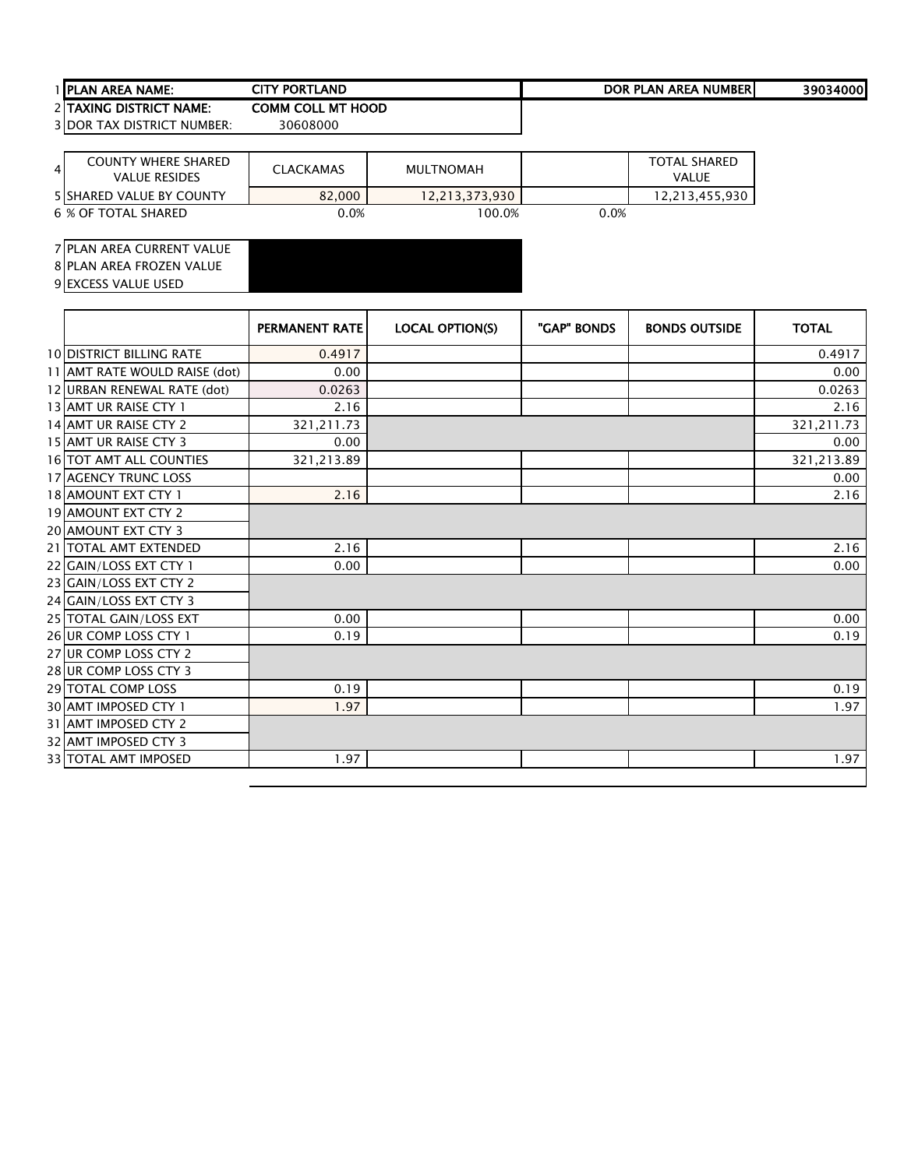| A NAME:<br>1 IPLAN<br><b>AREA</b> | LAND<br>Y PORTI | <b>AREA</b><br>NUMBER.<br><b>LAN</b><br><b>DOR</b><br>DI. | 4000'<br>3903 |
|-----------------------------------|-----------------|-----------------------------------------------------------|---------------|
|                                   |                 |                                                           |               |

TAXING DISTRICT NAME: COMM COLL MT HOOD

DOR TAX DISTRICT NUMBER: 30608000

| <b>COUNTY WHERE SHARED</b><br>41<br><b>VALUE RESIDES</b> | <b>CLACKAMAS</b> | <b>MULTNOMAH</b> |      | TOTAL SHARED<br><b>VALUE</b> |
|----------------------------------------------------------|------------------|------------------|------|------------------------------|
| <b>5 ISHARED VALUE BY COUNTY</b>                         | 82,000           | 12,213,373,930   |      | 12.213.455.930               |
| 6 % OF TOTAL SHARED                                      | 0.0%             | 100.0%           | 0.0% |                              |

PLAN AREA CURRENT VALUE

8 PLAN AREA FROZEN VALUE 9 EXCESS VALUE USED

|                                | <b>PERMANENT RATE</b> | <b>LOCAL OPTION(S)</b> | "GAP" BONDS | <b>BONDS OUTSIDE</b> | <b>TOTAL</b> |
|--------------------------------|-----------------------|------------------------|-------------|----------------------|--------------|
| 10 DISTRICT BILLING RATE       | 0.4917                |                        |             |                      | 0.4917       |
| 11 AMT RATE WOULD RAISE (dot)  | 0.00                  |                        |             |                      | 0.00         |
| 12 URBAN RENEWAL RATE (dot)    | 0.0263                |                        |             |                      | 0.0263       |
| 13 AMT UR RAISE CTY 1          | 2.16                  |                        |             |                      | 2.16         |
| 14 AMT UR RAISE CTY 2          | 321,211.73            |                        |             |                      | 321,211.73   |
| 15 AMT UR RAISE CTY 3          | 0.00                  |                        |             |                      | 0.00         |
| <b>16 TOT AMT ALL COUNTIES</b> | 321,213.89            |                        |             |                      | 321,213.89   |
| 17 AGENCY TRUNC LOSS           |                       |                        |             |                      | 0.00         |
| 18 AMOUNT EXT CTY 1            | 2.16                  |                        |             |                      | 2.16         |
| <b>19 AMOUNT EXT CTY 2</b>     |                       |                        |             |                      |              |
| 20 AMOUNT EXT CTY 3            |                       |                        |             |                      |              |
| 21   TOTAL AMT EXTENDED        | 2.16                  |                        |             |                      | 2.16         |
| 22 GAIN/LOSS EXT CTY 1         | 0.00                  |                        |             |                      | 0.00         |
| 23 GAIN/LOSS EXT CTY 2         |                       |                        |             |                      |              |
| 24 GAIN/LOSS EXT CTY 3         |                       |                        |             |                      |              |
| 25 TOTAL GAIN/LOSS EXT         | 0.00                  |                        |             |                      | 0.00         |
| 26 UR COMP LOSS CTY 1          | 0.19                  |                        |             |                      | 0.19         |
| 27 UR COMP LOSS CTY 2          |                       |                        |             |                      |              |
| 28 UR COMP LOSS CTY 3          |                       |                        |             |                      |              |
| 29 TOTAL COMP LOSS             | 0.19                  |                        |             |                      | 0.19         |
| 30 AMT IMPOSED CTY 1           | 1.97                  |                        |             |                      | 1.97         |
| 31 AMT IMPOSED CTY 2           |                       |                        |             |                      |              |
| 32 AMT IMPOSED CTY 3           |                       |                        |             |                      |              |
| <b>33 TOTAL AMT IMPOSED</b>    | 1.97                  |                        |             |                      | 1.97         |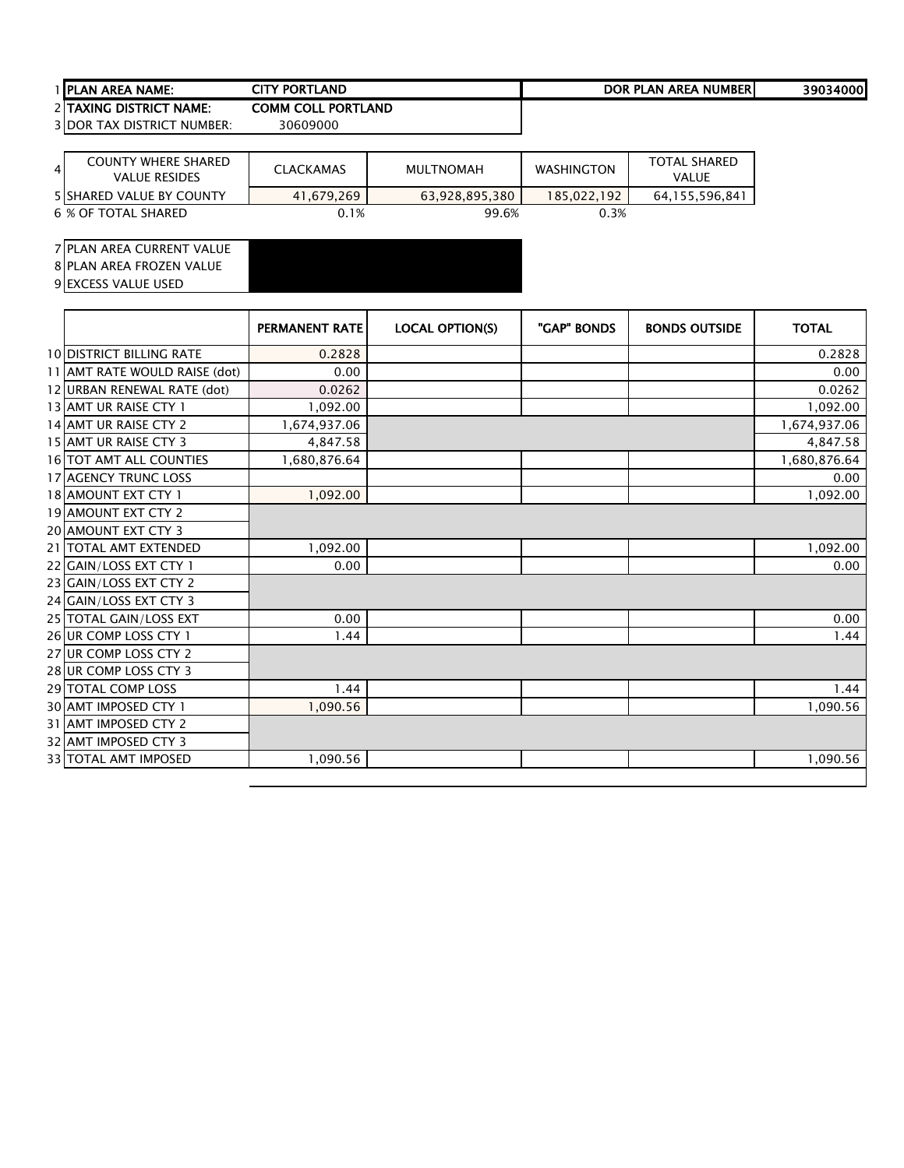| LAND<br><b>TITY PORTLA</b><br>1 <b>IPLAN AREA NAME:</b><br>OR | <b>NUMBER</b><br><b>DOR</b><br><b>AREA</b><br>PLAN | ا1000<br>3903 |
|---------------------------------------------------------------|----------------------------------------------------|---------------|

TAXING DISTRICT NAME: COMM COLL PORTLAND

DOR TAX DISTRICT NUMBER: 30609000

| $\overline{4}$ | <b>COUNTY WHERE SHARED</b><br>VALUE RESIDES | <b>CLACKAMAS</b> | <b>MULTNOMAH</b> | <b>WASHINGTON</b> | <b>TOTAL SHARED</b><br>VALUE |
|----------------|---------------------------------------------|------------------|------------------|-------------------|------------------------------|
|                | <b>5 ISHARED VALUE BY COUNTY</b>            | 41,679,269       | 63,928,895,380   | 185.022.192       | 64,155,596,841               |
|                | 6 % OF TOTAL SHARED                         | 0.1%             | 99.6%            | 0.3%              |                              |

### PLAN AREA CURRENT VALUE

8 PLAN AREA FROZEN VALUE

|                                 | <b>PERMANENT RATE</b> | <b>LOCAL OPTION(S)</b> | "GAP" BONDS | <b>BONDS OUTSIDE</b> | <b>TOTAL</b> |
|---------------------------------|-----------------------|------------------------|-------------|----------------------|--------------|
| <b>10 DISTRICT BILLING RATE</b> | 0.2828                |                        |             |                      | 0.2828       |
| 11 AMT RATE WOULD RAISE (dot)   | 0.00                  |                        |             |                      | 0.00         |
| 12 URBAN RENEWAL RATE (dot)     | 0.0262                |                        |             |                      | 0.0262       |
| 13 AMT UR RAISE CTY 1           | 1,092.00              |                        |             |                      | 1,092.00     |
| 14 AMT UR RAISE CTY 2           | 1,674,937.06          |                        |             |                      | 1,674,937.06 |
| 15 AMT UR RAISE CTY 3           | 4,847.58              |                        |             |                      | 4,847.58     |
| <b>16 TOT AMT ALL COUNTIES</b>  | 1,680,876.64          |                        |             |                      | 1,680,876.64 |
| 17 AGENCY TRUNC LOSS            |                       |                        |             |                      | 0.00         |
| 18 AMOUNT EXT CTY 1             | 1,092.00              |                        |             |                      | 1,092.00     |
| <b>19 AMOUNT EXT CTY 2</b>      |                       |                        |             |                      |              |
| 20 AMOUNT EXT CTY 3             |                       |                        |             |                      |              |
| 21   TOTAL AMT EXTENDED         | 1,092.00              |                        |             |                      | 1,092.00     |
| 22 GAIN/LOSS EXT CTY 1          | 0.00                  |                        |             |                      | 0.00         |
| 23 GAIN/LOSS EXT CTY 2          |                       |                        |             |                      |              |
| 24 GAIN/LOSS EXT CTY 3          |                       |                        |             |                      |              |
| 25 TOTAL GAIN/LOSS EXT          | 0.00                  |                        |             |                      | 0.00         |
| 26 UR COMP LOSS CTY 1           | 1.44                  |                        |             |                      | 1.44         |
| 27 UR COMP LOSS CTY 2           |                       |                        |             |                      |              |
| 28 UR COMP LOSS CTY 3           |                       |                        |             |                      |              |
| 29 TOTAL COMP LOSS              | 1.44                  |                        |             |                      | 1.44         |
| 30 AMT IMPOSED CTY 1            | 1,090.56              |                        |             |                      | 1,090.56     |
| 31 AMT IMPOSED CTY 2            |                       |                        |             |                      |              |
| 32 AMT IMPOSED CTY 3            |                       |                        |             |                      |              |
| <b>33 TOTAL AMT IMPOSED</b>     | 1,090.56              |                        |             |                      | 1,090.56     |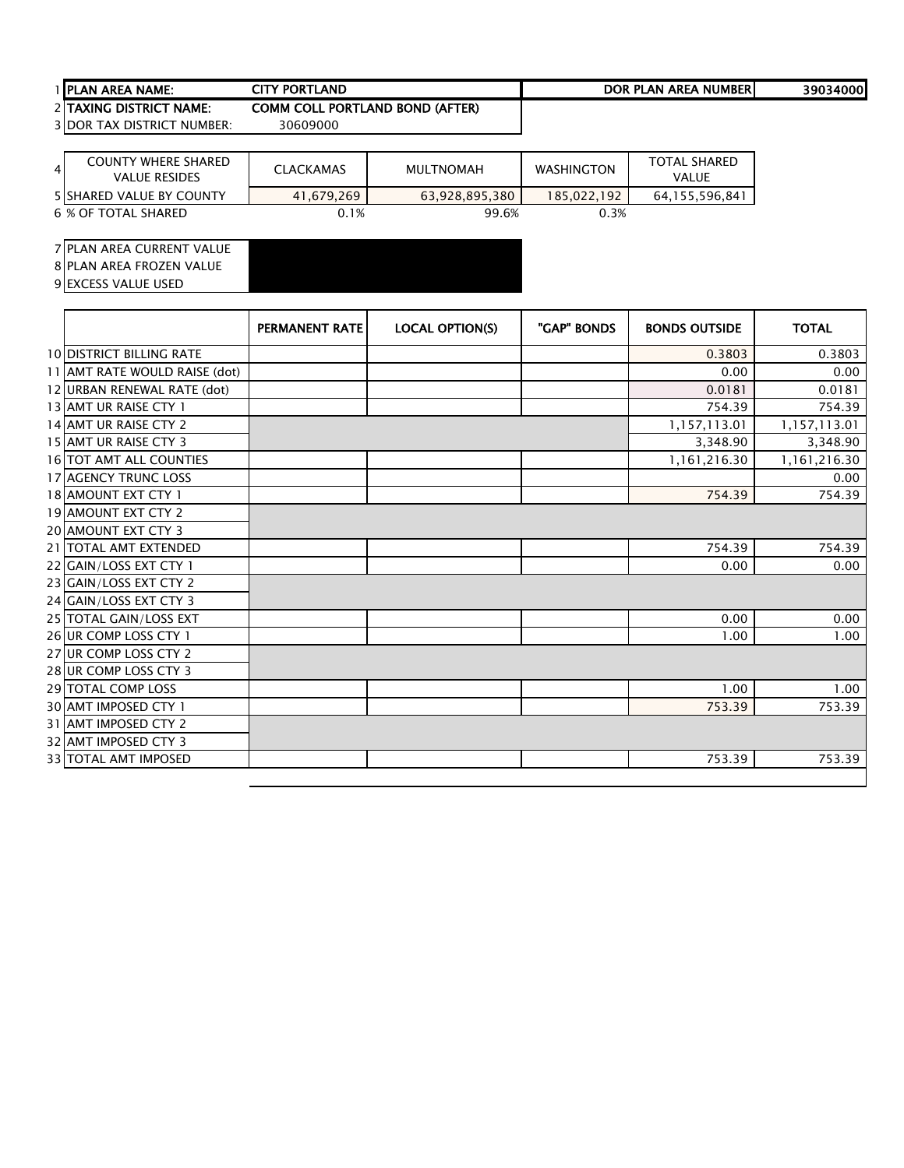## PLAN AREA NAME: 39034000 CITY PORTLAND DOR PLAN AREA NUMBER

TAXING DISTRICT NAME: COMM COLL PORTLAND BOND (AFTER)

3 DOR TAX DISTRICT NUMBER: 30609000

| $\overline{4}$ | <b>COUNTY WHERE SHARED</b><br><b>VALUE RESIDES</b> | <b>CLACKAMAS</b> | MULTNOMAH      | <b>WASHINGTON</b> | <b>TOTAL SHARED</b><br>VALUE |
|----------------|----------------------------------------------------|------------------|----------------|-------------------|------------------------------|
|                | <b>5 ISHARED VALUE BY COUNTY</b>                   | 41.679.269       | 63.928.895.380 | 185.022.192       | 64,155,596,841               |
|                | 6 % OF TOTAL SHARED                                | 0.1%             | 99.6%          | 0.3%              |                              |

PLAN AREA CURRENT VALUE

8 PLAN AREA FROZEN VALUE

|                                 | <b>PERMANENT RATE</b> | <b>LOCAL OPTION(S)</b> | "GAP" BONDS | <b>BONDS OUTSIDE</b> | <b>TOTAL</b> |
|---------------------------------|-----------------------|------------------------|-------------|----------------------|--------------|
| <b>10 DISTRICT BILLING RATE</b> |                       |                        |             | 0.3803               | 0.3803       |
| 11 AMT RATE WOULD RAISE (dot)   |                       |                        |             | 0.00                 | 0.00         |
| 12 URBAN RENEWAL RATE (dot)     |                       |                        |             | 0.0181               | 0.0181       |
| 13 AMT UR RAISE CTY 1           |                       |                        |             | 754.39               | 754.39       |
| 14 AMT UR RAISE CTY 2           |                       |                        |             | 1,157,113.01         | 1,157,113.01 |
| 15 AMT UR RAISE CTY 3           |                       |                        |             | 3,348.90             | 3,348.90     |
| <b>16 TOT AMT ALL COUNTIES</b>  |                       |                        |             | 1,161,216.30         | 1,161,216.30 |
| <b>17 AGENCY TRUNC LOSS</b>     |                       |                        |             |                      | 0.00         |
| 18 AMOUNT EXT CTY 1             |                       |                        |             | 754.39               | 754.39       |
| 19 AMOUNT EXT CTY 2             |                       |                        |             |                      |              |
| <b>20 AMOUNT EXT CTY 3</b>      |                       |                        |             |                      |              |
| 21   TOTAL AMT EXTENDED         |                       |                        |             | 754.39               | 754.39       |
| 22 GAIN/LOSS EXT CTY 1          |                       |                        |             | 0.00                 | 0.00         |
| 23 GAIN/LOSS EXT CTY 2          |                       |                        |             |                      |              |
| 24 GAIN/LOSS EXT CTY 3          |                       |                        |             |                      |              |
| 25 TOTAL GAIN/LOSS EXT          |                       |                        |             | 0.00                 | 0.00         |
| 26 UR COMP LOSS CTY 1           |                       |                        |             | 1.00                 | 1.00         |
| 27 UR COMP LOSS CTY 2           |                       |                        |             |                      |              |
| 28 UR COMP LOSS CTY 3           |                       |                        |             |                      |              |
| 29 TOTAL COMP LOSS              |                       |                        |             | 1.00                 | 1.00         |
| 30 AMT IMPOSED CTY 1            |                       |                        |             | 753.39               | 753.39       |
| 31 AMT IMPOSED CTY 2            |                       |                        |             |                      |              |
| 32 AMT IMPOSED CTY 3            |                       |                        |             |                      |              |
| <b>33 TOTAL AMT IMPOSED</b>     |                       |                        |             | 753.39               | 753.39       |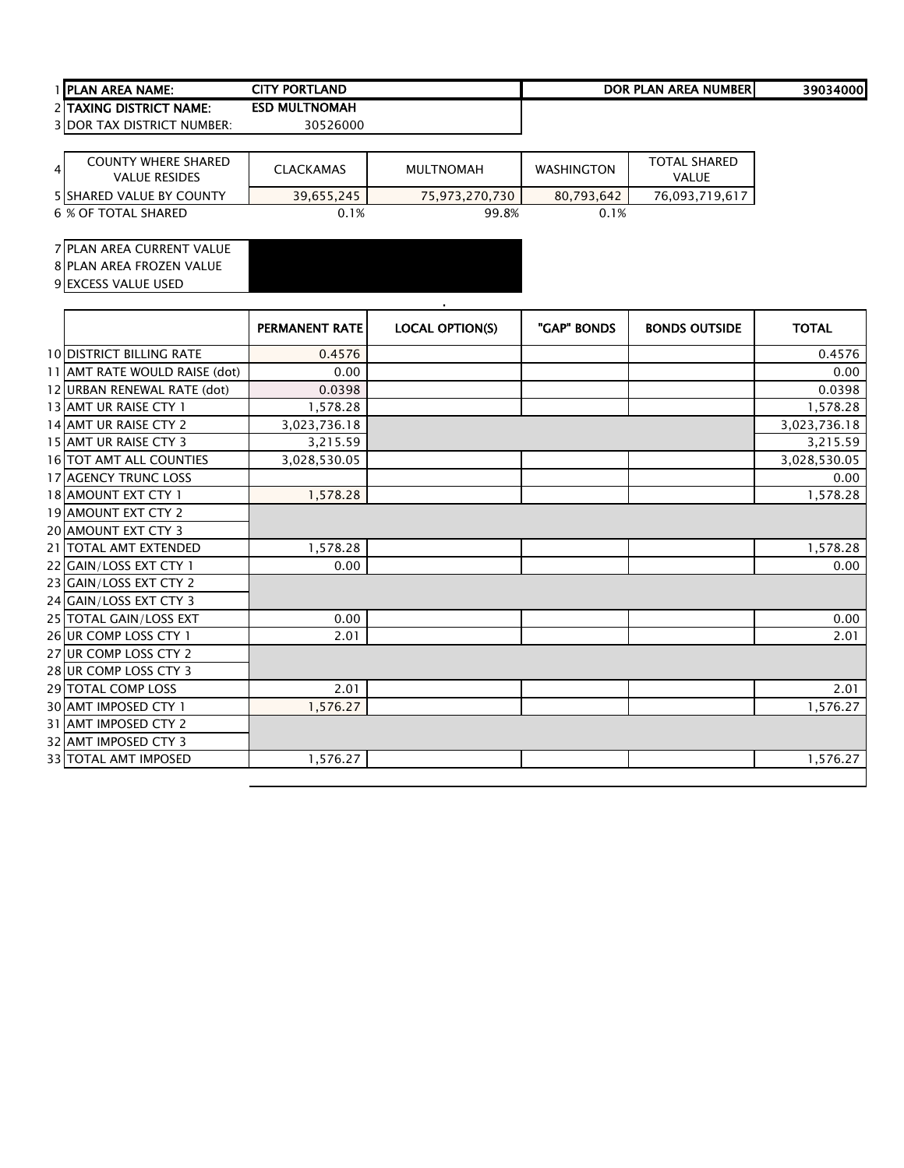| 1 <b>IPLAN AREA NAME:</b> | CITY PORTLAND        | DOR PLAN AREA NUMBERI | 39034000 |
|---------------------------|----------------------|-----------------------|----------|
| 2 ITAXING DISTRICT NAME:  | <b>ESD MULTNOMAH</b> |                       |          |

| 4 | <b>COUNTY WHERE SHARED</b><br><b>VALUE RESIDES</b> | <b>CLACKAMAS</b> | <b>MULTNOMAH</b> | <b>WASHINGTON</b> | TOTAL SHARFD<br><b>VALUE</b> |
|---|----------------------------------------------------|------------------|------------------|-------------------|------------------------------|
|   | <b>5 ISHARED VALUE BY COUNTY</b>                   | 39,655,245       | 75.973.270.730   | 80.793.642        | 76,093,719,617               |
|   | 6 % OF TOTAL SHARED                                | 0.1%             | 99.8%            | 0.1%              |                              |

### PLAN AREA CURRENT VALUE

PLAN AREA FROZEN VALUE

|                                 |                       | $\blacksquare$         |             |                      |              |
|---------------------------------|-----------------------|------------------------|-------------|----------------------|--------------|
|                                 | <b>PERMANENT RATE</b> | <b>LOCAL OPTION(S)</b> | "GAP" BONDS | <b>BONDS OUTSIDE</b> | <b>TOTAL</b> |
| <b>10 DISTRICT BILLING RATE</b> | 0.4576                |                        |             |                      | 0.4576       |
| 11 AMT RATE WOULD RAISE (dot)   | 0.00                  |                        |             |                      | 0.00         |
| 12 URBAN RENEWAL RATE (dot)     | 0.0398                |                        |             |                      | 0.0398       |
| 13 AMT UR RAISE CTY 1           | 1,578.28              |                        |             |                      | 1,578.28     |
| 14 AMT UR RAISE CTY 2           | 3,023,736.18          |                        |             |                      | 3,023,736.18 |
| 15 AMT UR RAISE CTY 3           | 3,215.59              |                        |             |                      | 3,215.59     |
| 16 TOT AMT ALL COUNTIES         | 3,028,530.05          |                        |             |                      | 3,028,530.05 |
| <b>17 AGENCY TRUNC LOSS</b>     |                       |                        |             |                      | 0.00         |
| 18 AMOUNT EXT CTY 1             | 1,578.28              |                        |             |                      | 1,578.28     |
| 19 AMOUNT EXT CTY 2             |                       |                        |             |                      |              |
| <b>20 AMOUNT EXT CTY 3</b>      |                       |                        |             |                      |              |
| 21   TOTAL AMT EXTENDED         | 1,578.28              |                        |             |                      | 1,578.28     |
| 22 GAIN/LOSS EXT CTY 1          | 0.00                  |                        |             |                      | 0.00         |
| 23 GAIN/LOSS EXT CTY 2          |                       |                        |             |                      |              |
| 24 GAIN/LOSS EXT CTY 3          |                       |                        |             |                      |              |
| 25 TOTAL GAIN/LOSS EXT          | 0.00                  |                        |             |                      | 0.00         |
| 26 UR COMP LOSS CTY 1           | 2.01                  |                        |             |                      | 2.01         |
| 27 UR COMP LOSS CTY 2           |                       |                        |             |                      |              |
| 28 UR COMP LOSS CTY 3           |                       |                        |             |                      |              |
| 29 TOTAL COMP LOSS              | 2.01                  |                        |             |                      | 2.01         |
| 30 AMT IMPOSED CTY 1            | 1,576.27              |                        |             |                      | 1,576.27     |
| 31 AMT IMPOSED CTY 2            |                       |                        |             |                      |              |
| 32 AMT IMPOSED CTY 3            |                       |                        |             |                      |              |
| 33 TOTAL AMT IMPOSED            | 1,576.27              |                        |             |                      | 1,576.27     |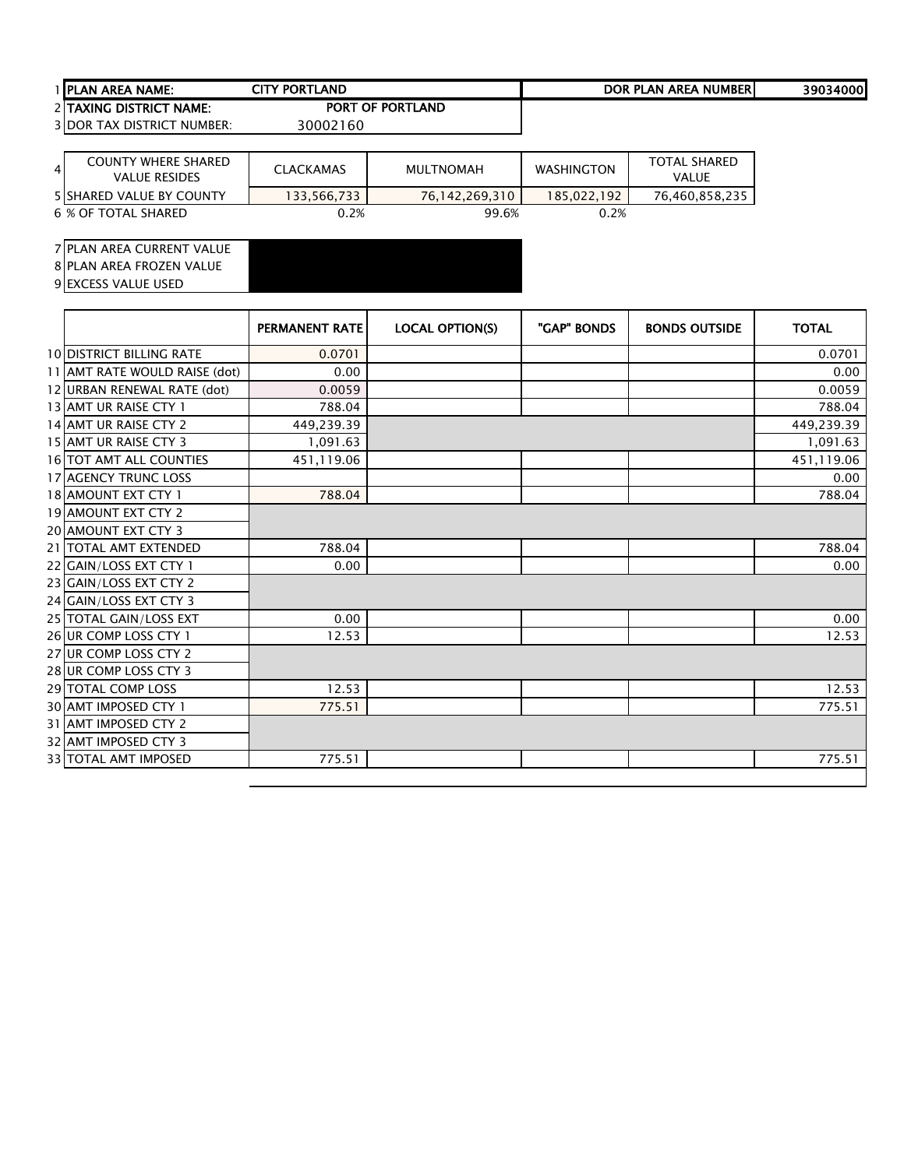| 1 IPLAN AREA NAME:                | CITY PORTLAND           | DOR PLAN AREA NUMBERI | 39034000 |
|-----------------------------------|-------------------------|-----------------------|----------|
| 2 ITAXING DISTRICT NAME:          | <b>PORT OF PORTLAND</b> |                       |          |
| <b>3IDOR TAX DISTRICT NUMBER:</b> | 30002160                |                       |          |

| 4 | COUNTY WHERE SHARED<br><b>VALUE RESIDES</b> | <b>CLACKAMAS</b> | <b>MULTNOMAH</b> | <b>WASHINGTON</b> | <b>TOTAL SHARED</b><br>VALUE |
|---|---------------------------------------------|------------------|------------------|-------------------|------------------------------|
|   | <b>5 ISHARED VALUE BY COUNTY</b>            | 133,566,733      | 76.142.269.310   | 185.022.192       | 76,460,858,235               |
|   | 6 % OF TOTAL SHARED                         | 0.2%             | 99.6%            | 0.2%              |                              |

### PLAN AREA CURRENT VALUE

PLAN AREA FROZEN VALUE

|                                 | PERMANENT RATE | <b>LOCAL OPTION(S)</b> | "GAP" BONDS | <b>BONDS OUTSIDE</b> | <b>TOTAL</b> |
|---------------------------------|----------------|------------------------|-------------|----------------------|--------------|
| <b>10 DISTRICT BILLING RATE</b> | 0.0701         |                        |             |                      | 0.0701       |
| 11 AMT RATE WOULD RAISE (dot)   | 0.00           |                        |             |                      | 0.00         |
| 12 URBAN RENEWAL RATE (dot)     | 0.0059         |                        |             |                      | 0.0059       |
| 13 AMT UR RAISE CTY 1           | 788.04         |                        |             |                      | 788.04       |
| 14 AMT UR RAISE CTY 2           | 449,239.39     |                        |             |                      | 449,239.39   |
| 15 AMT UR RAISE CTY 3           | 1,091.63       |                        |             |                      | 1,091.63     |
| <b>16 TOT AMT ALL COUNTIES</b>  | 451,119.06     |                        |             |                      | 451,119.06   |
| <b>17 AGENCY TRUNC LOSS</b>     |                |                        |             |                      | 0.00         |
| 18 AMOUNT EXT CTY 1             | 788.04         |                        |             |                      | 788.04       |
| <b>19 AMOUNT EXT CTY 2</b>      |                |                        |             |                      |              |
| 20 AMOUNT EXT CTY 3             |                |                        |             |                      |              |
| 21   TOTAL AMT EXTENDED         | 788.04         |                        |             |                      | 788.04       |
| 22 GAIN/LOSS EXT CTY 1          | 0.00           |                        |             |                      | 0.00         |
| 23 GAIN/LOSS EXT CTY 2          |                |                        |             |                      |              |
| 24 GAIN/LOSS EXT CTY 3          |                |                        |             |                      |              |
| 25 TOTAL GAIN/LOSS EXT          | 0.00           |                        |             |                      | 0.00         |
| 26 UR COMP LOSS CTY 1           | 12.53          |                        |             |                      | 12.53        |
| 27 UR COMP LOSS CTY 2           |                |                        |             |                      |              |
| 28 UR COMP LOSS CTY 3           |                |                        |             |                      |              |
| <b>29 TOTAL COMP LOSS</b>       | 12.53          |                        |             |                      | 12.53        |
| <b>30 AMT IMPOSED CTY 1</b>     | 775.51         |                        |             |                      | 775.51       |
| 31 AMT IMPOSED CTY 2            |                |                        |             |                      |              |
| 32 AMT IMPOSED CTY 3            |                |                        |             |                      |              |
| <b>33 TOTAL AMT IMPOSED</b>     | 775.51         |                        |             |                      | 775.51       |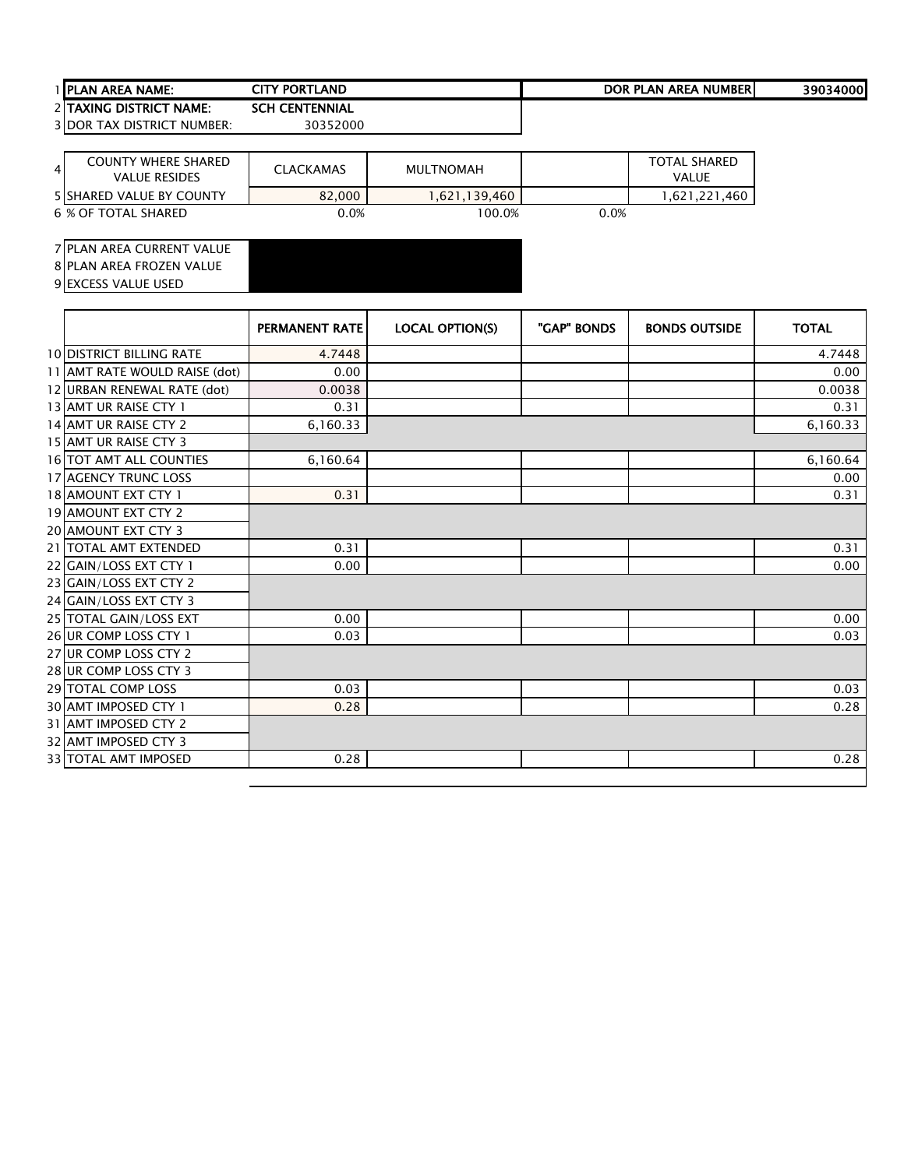| 1 <b>IPLAN AREA NAME:</b> | TLAND<br>CITY PORTL        | PLAN AREA N.<br><b>NUMBER</b><br><b>DOR</b> | 39034000 |
|---------------------------|----------------------------|---------------------------------------------|----------|
| 2 ITAXING DISTRICT NAME:  | <b>CENTENNIAL</b><br>CCI 1 |                                             |          |

| <b>COUNTY WHERE SHARED</b><br>4 <sub>l</sub><br><b>VALUE RESIDES</b> | <b>CLACKAMAS</b> | <b>MULTNOMAH</b> |      | <b>TOTAL SHARED</b><br><b>VALUE</b> |
|----------------------------------------------------------------------|------------------|------------------|------|-------------------------------------|
| <b>5 ISHARED VALUE BY COUNTY</b>                                     | 82,000           | 1.621.139.460    |      | .621.221<br>.460                    |
| 6 % OF TOTAL SHARED                                                  | 0.0%             | $00.0\%$         | 0.0% |                                     |

## PLAN AREA CURRENT VALUE

8 PLAN AREA FROZEN VALUE

|                                 | <b>PERMANENT RATE</b> | <b>LOCAL OPTION(S)</b> | "GAP" BONDS | <b>BONDS OUTSIDE</b> | <b>TOTAL</b> |
|---------------------------------|-----------------------|------------------------|-------------|----------------------|--------------|
| <b>10 DISTRICT BILLING RATE</b> | 4.7448                |                        |             |                      | 4.7448       |
| 11 AMT RATE WOULD RAISE (dot)   | 0.00                  |                        |             |                      | 0.00         |
| 12 URBAN RENEWAL RATE (dot)     | 0.0038                |                        |             |                      | 0.0038       |
| 13 AMT UR RAISE CTY 1           | 0.31                  |                        |             |                      | 0.31         |
| 14 AMT UR RAISE CTY 2           | 6,160.33              |                        |             |                      | 6,160.33     |
| 15 AMT UR RAISE CTY 3           |                       |                        |             |                      |              |
| 16 TOT AMT ALL COUNTIES         | 6,160.64              |                        |             |                      | 6,160.64     |
| 17 AGENCY TRUNC LOSS            |                       |                        |             |                      | 0.00         |
| 18 AMOUNT EXT CTY 1             | 0.31                  |                        |             |                      | 0.31         |
| 19 AMOUNT EXT CTY 2             |                       |                        |             |                      |              |
| <b>20 AMOUNT EXT CTY 3</b>      |                       |                        |             |                      |              |
| 21 TOTAL AMT EXTENDED           | 0.31                  |                        |             |                      | 0.31         |
| 22 GAIN/LOSS EXT CTY 1          | 0.00                  |                        |             |                      | 0.00         |
| 23 GAIN/LOSS EXT CTY 2          |                       |                        |             |                      |              |
| 24 GAIN/LOSS EXT CTY 3          |                       |                        |             |                      |              |
| 25 TOTAL GAIN/LOSS EXT          | 0.00                  |                        |             |                      | 0.00         |
| 26 UR COMP LOSS CTY 1           | 0.03                  |                        |             |                      | 0.03         |
| 27 UR COMP LOSS CTY 2           |                       |                        |             |                      |              |
| 28 UR COMP LOSS CTY 3           |                       |                        |             |                      |              |
| 29 TOTAL COMP LOSS              | 0.03                  |                        |             |                      | 0.03         |
| 30 AMT IMPOSED CTY 1            | 0.28                  |                        |             |                      | 0.28         |
| 31 AMT IMPOSED CTY 2            |                       |                        |             |                      |              |
| 32 AMT IMPOSED CTY 3            |                       |                        |             |                      |              |
| <b>33 TOTAL AMT IMPOSED</b>     | 0.28                  |                        |             |                      | 0.28         |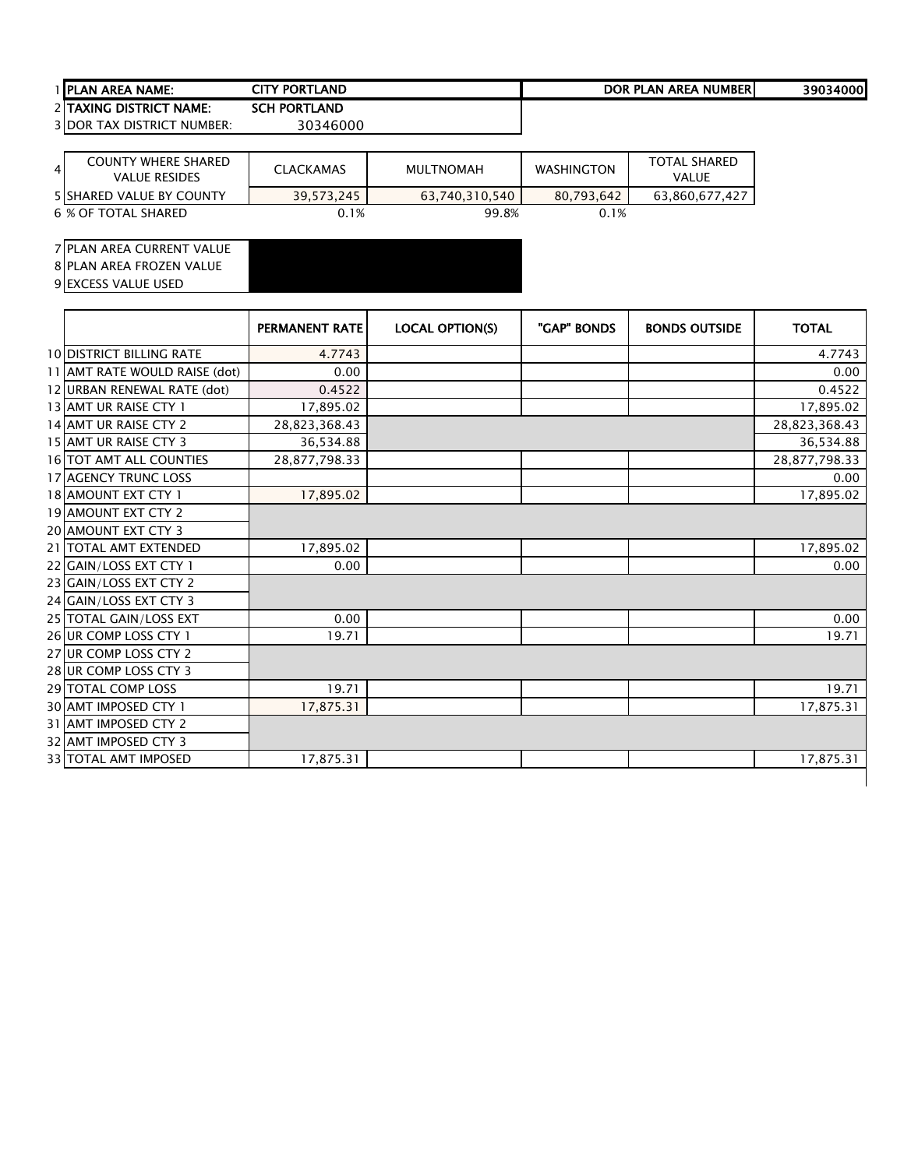| <b>I IPLAN</b><br>NAME:<br><b>AREA</b> | ty Portl<br>ſLAND<br>CITY           | <b>AREA NUMBERI</b><br><b>DOR</b><br>DI.<br>PLAN | 39034000 |
|----------------------------------------|-------------------------------------|--------------------------------------------------|----------|
| <b>DISTRICT NAME:</b><br>2 ITAXING     | <b>TLAND</b><br>CCU.<br><b>PORT</b> |                                                  |          |

| 4 <sup>1</sup> | <b>COUNTY WHERE SHARED</b><br><b>VALUE RESIDES</b> | <b>CLACKAMAS</b> | MULTNOMAH      | <b>WASHINGTON</b> | <b>TOTAL SHARED</b><br><b>VALUE</b> |
|----------------|----------------------------------------------------|------------------|----------------|-------------------|-------------------------------------|
|                | <b>5 SHARED VALUE BY COUNTY</b>                    | 39.573.245       | 63.740.310.540 | 80.793.642        | 63.860.677.427                      |
|                | 6 % OF TOTAL SHARED                                | 0.1%             | 99.8%          | 0.1%              |                                     |

### PLAN AREA CURRENT VALUE

PLAN AREA FROZEN VALUE

|                                 | <b>PERMANENT RATE</b> | <b>LOCAL OPTION(S)</b> | "GAP" BONDS | <b>BONDS OUTSIDE</b> | <b>TOTAL</b>  |
|---------------------------------|-----------------------|------------------------|-------------|----------------------|---------------|
| <b>10 DISTRICT BILLING RATE</b> | 4.7743                |                        |             |                      | 4.7743        |
| 11 AMT RATE WOULD RAISE (dot)   | 0.00                  |                        |             |                      | 0.00          |
| 12 URBAN RENEWAL RATE (dot)     | 0.4522                |                        |             |                      | 0.4522        |
| 13 AMT UR RAISE CTY 1           | 17,895.02             |                        |             |                      | 17,895.02     |
| 14 AMT UR RAISE CTY 2           | 28,823,368.43         |                        |             |                      | 28,823,368.43 |
| 15 AMT UR RAISE CTY 3           | 36,534.88             |                        |             |                      | 36,534.88     |
| 16 TOT AMT ALL COUNTIES         | 28,877,798.33         |                        |             |                      | 28,877,798.33 |
| <b>17 AGENCY TRUNC LOSS</b>     |                       |                        |             |                      | 0.00          |
| 18 AMOUNT EXT CTY 1             | 17,895.02             |                        |             |                      | 17,895.02     |
| 19 AMOUNT EXT CTY 2             |                       |                        |             |                      |               |
| 20 AMOUNT EXT CTY 3             |                       |                        |             |                      |               |
| 21 TOTAL AMT EXTENDED           | 17,895.02             |                        |             |                      | 17,895.02     |
| 22 GAIN/LOSS EXT CTY 1          | 0.00                  |                        |             |                      | 0.00          |
| 23 GAIN/LOSS EXT CTY 2          |                       |                        |             |                      |               |
| 24 GAIN/LOSS EXT CTY 3          |                       |                        |             |                      |               |
| 25 TOTAL GAIN/LOSS EXT          | 0.00                  |                        |             |                      | 0.00          |
| 26 UR COMP LOSS CTY 1           | 19.71                 |                        |             |                      | 19.71         |
| 27 UR COMP LOSS CTY 2           |                       |                        |             |                      |               |
| 28 UR COMP LOSS CTY 3           |                       |                        |             |                      |               |
| 29 TOTAL COMP LOSS              | 19.71                 |                        |             |                      | 19.71         |
| 30 AMT IMPOSED CTY 1            | 17,875.31             |                        |             |                      | 17,875.31     |
| 31 AMT IMPOSED CTY 2            |                       |                        |             |                      |               |
| 32 AMT IMPOSED CTY 3            |                       |                        |             |                      |               |
| <b>33 TOTAL AMT IMPOSED</b>     | 17,875.31             |                        |             |                      | 17,875.31     |
|                                 |                       |                        |             |                      |               |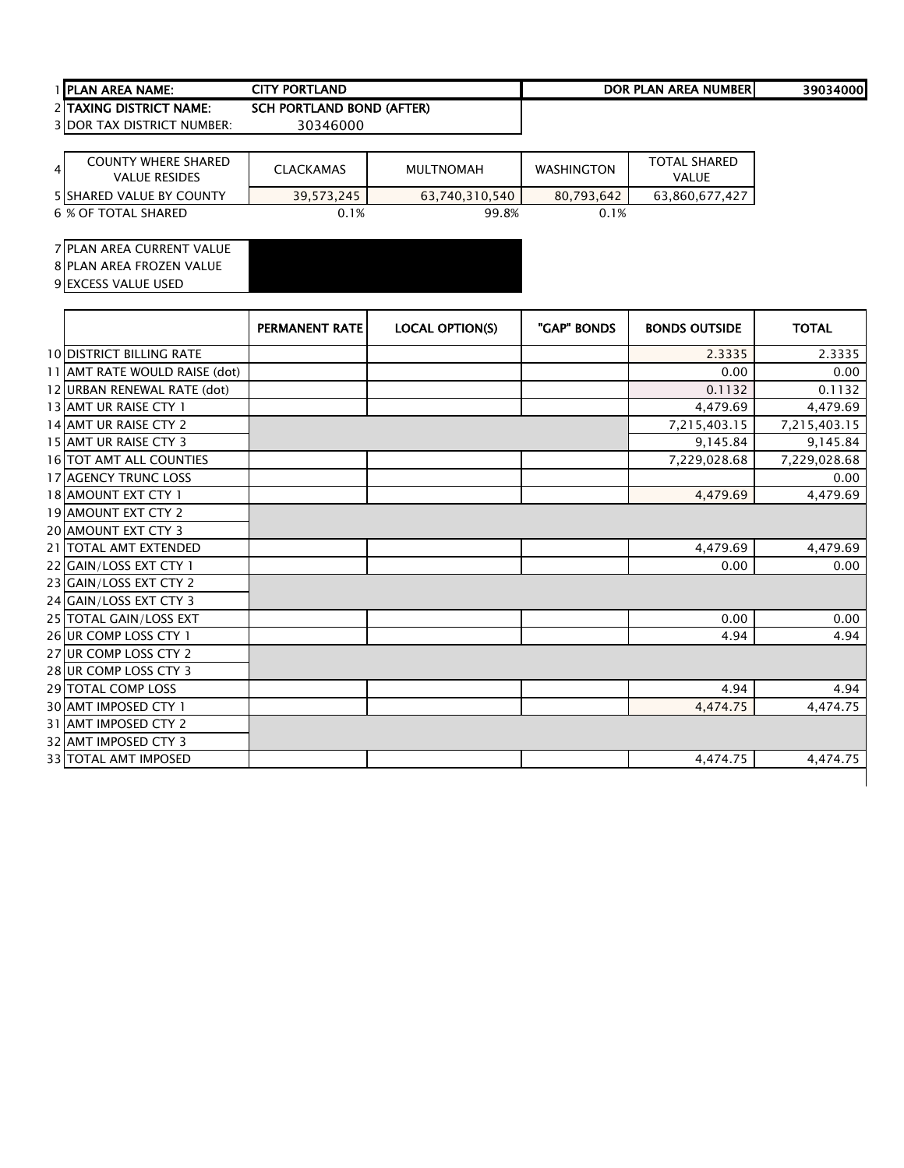## PLAN AREA NAME: 39034000 CITY PORTLAND DOR PLAN AREA NUMBER2 TAXING DISTRICT NAME: SCH PORTLAND BOND (AFTER)<br>3 DOR TAX DISTRICT NUMBER: 30346000

3 DOR TAX DISTRICT NUMBER:

| $\overline{4}$ | COUNTY WHERE SHARED<br><b>VALUE RESIDES</b> | <b>CLACKAMAS</b> | MULTNOMAH      | <b>WASHINGTON</b> | TOTAL SHARED<br><b>VALUE</b> |
|----------------|---------------------------------------------|------------------|----------------|-------------------|------------------------------|
|                | <b>5 ISHARED VALUE BY COUNTY</b>            | 39,573,245       | 63,740,310,540 | 80.793.642        | 63,860,677,427               |
|                | 6 % OF TOTAL SHARED                         | 0.1%             | 99.8%          | 0.1%              |                              |

PLAN AREA CURRENT VALUE

PLAN AREA FROZEN VALUE

|                                 | <b>PERMANENT RATE</b> | <b>LOCAL OPTION(S)</b> | "GAP" BONDS | <b>BONDS OUTSIDE</b> | <b>TOTAL</b> |
|---------------------------------|-----------------------|------------------------|-------------|----------------------|--------------|
| <b>10 DISTRICT BILLING RATE</b> |                       |                        |             | 2.3335               | 2.3335       |
| 11 AMT RATE WOULD RAISE (dot)   |                       |                        |             | 0.00                 | 0.00         |
| 12 URBAN RENEWAL RATE (dot)     |                       |                        |             | 0.1132               | 0.1132       |
| 13 AMT UR RAISE CTY 1           |                       |                        |             | 4,479.69             | 4,479.69     |
| 14 AMT UR RAISE CTY 2           |                       |                        |             | 7,215,403.15         | 7,215,403.15 |
| 15 AMT UR RAISE CTY 3           |                       |                        |             | 9,145.84             | 9,145.84     |
| <b>16 TOT AMT ALL COUNTIES</b>  |                       |                        |             | 7,229,028.68         | 7,229,028.68 |
| 17 AGENCY TRUNC LOSS            |                       |                        |             |                      | 0.00         |
| 18 AMOUNT EXT CTY 1             |                       |                        |             | 4,479.69             | 4,479.69     |
| <b>19 AMOUNT EXT CTY 2</b>      |                       |                        |             |                      |              |
| 20 AMOUNT EXT CTY 3             |                       |                        |             |                      |              |
| 21 TOTAL AMT EXTENDED           |                       |                        |             | 4,479.69             | 4,479.69     |
| 22 GAIN/LOSS EXT CTY 1          |                       |                        |             | 0.00                 | 0.00         |
| 23 GAIN/LOSS EXT CTY 2          |                       |                        |             |                      |              |
| 24 GAIN/LOSS EXT CTY 3          |                       |                        |             |                      |              |
| 25 TOTAL GAIN/LOSS EXT          |                       |                        |             | 0.00                 | 0.00         |
| 26 UR COMP LOSS CTY 1           |                       |                        |             | 4.94                 | 4.94         |
| 27 UR COMP LOSS CTY 2           |                       |                        |             |                      |              |
| 28 UR COMP LOSS CTY 3           |                       |                        |             |                      |              |
| 29 TOTAL COMP LOSS              |                       |                        |             | 4.94                 | 4.94         |
| 30 AMT IMPOSED CTY 1            |                       |                        |             | 4,474.75             | 4,474.75     |
| 31 AMT IMPOSED CTY 2            |                       |                        |             |                      |              |
| 32 AMT IMPOSED CTY 3            |                       |                        |             |                      |              |
| 33 TOTAL AMT IMPOSED            |                       |                        |             | 4,474.75             | 4,474.75     |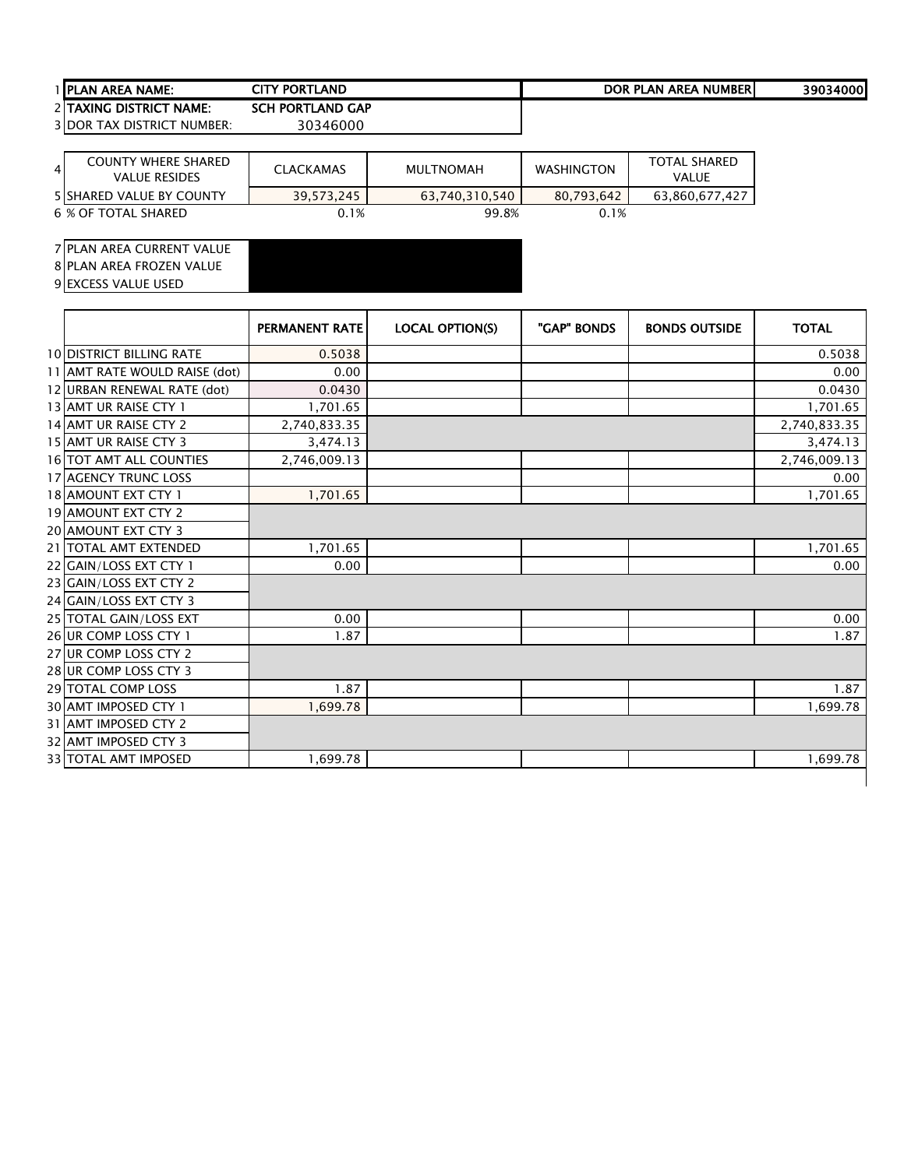# PLAN AREA NAME: 39034000 CITY PORTLAND DOR PLAN AREA NUMBER2 TAXING DISTRICT NAME: SCH PORTLAND GAP<br>3 DOR TAX DISTRICT NUMBER: 30346000

3 DOR TAX DISTRICT NUMBER:

| $\overline{4}$ | <b>COUNTY WHERE SHARED</b><br><b>VALUE RESIDES</b> | <b>CLACKAMAS</b> | <b>MULTNOMAH</b> | <b>WASHINGTON</b> | <b>TOTAL SHARED</b><br><b>VALUE</b> |
|----------------|----------------------------------------------------|------------------|------------------|-------------------|-------------------------------------|
|                | <b>5 ISHARED VALUE BY COUNTY</b>                   | 39.573.245       | 63.740.310.540   | 80.793.642        | 63.860.677.427                      |
|                | 6 % OF TOTAL SHARED                                | 0.1%             | 99.8%            | 0.1%              |                                     |

#### PLAN AREA CURRENT VALUE

8 PLAN AREA FROZEN VALUE

|                                 | <b>PERMANENT RATE</b> | <b>LOCAL OPTION(S)</b> | "GAP" BONDS | <b>BONDS OUTSIDE</b> | <b>TOTAL</b> |
|---------------------------------|-----------------------|------------------------|-------------|----------------------|--------------|
| <b>10 DISTRICT BILLING RATE</b> | 0.5038                |                        |             |                      | 0.5038       |
| 11 AMT RATE WOULD RAISE (dot)   | 0.00                  |                        |             |                      | 0.00         |
| 12 URBAN RENEWAL RATE (dot)     | 0.0430                |                        |             |                      | 0.0430       |
| 13 AMT UR RAISE CTY 1           | 1,701.65              |                        |             |                      | 1,701.65     |
| 14 AMT UR RAISE CTY 2           | 2,740,833.35          |                        |             |                      | 2,740,833.35 |
| 15 AMT UR RAISE CTY 3           | 3,474.13              |                        |             |                      | 3,474.13     |
| 16 TOT AMT ALL COUNTIES         | 2,746,009.13          |                        |             |                      | 2,746,009.13 |
| <b>17 AGENCY TRUNC LOSS</b>     |                       |                        |             |                      | 0.00         |
| 18 AMOUNT EXT CTY 1             | 1,701.65              |                        |             |                      | 1,701.65     |
| <b>19 AMOUNT EXT CTY 2</b>      |                       |                        |             |                      |              |
| 20 AMOUNT EXT CTY 3             |                       |                        |             |                      |              |
| 21 TOTAL AMT EXTENDED           | 1,701.65              |                        |             |                      | 1,701.65     |
| 22 GAIN/LOSS EXT CTY 1          | 0.00                  |                        |             |                      | 0.00         |
| 23 GAIN/LOSS EXT CTY 2          |                       |                        |             |                      |              |
| 24 GAIN/LOSS EXT CTY 3          |                       |                        |             |                      |              |
| 25 TOTAL GAIN/LOSS EXT          | 0.00                  |                        |             |                      | 0.00         |
| 26 UR COMP LOSS CTY 1           | 1.87                  |                        |             |                      | 1.87         |
| 27 UR COMP LOSS CTY 2           |                       |                        |             |                      |              |
| 28 UR COMP LOSS CTY 3           |                       |                        |             |                      |              |
| <b>29 TOTAL COMP LOSS</b>       | 1.87                  |                        |             |                      | 1.87         |
| 30 AMT IMPOSED CTY 1            | 1,699.78              |                        |             |                      | 1,699.78     |
| 31 AMT IMPOSED CTY 2            |                       |                        |             |                      |              |
| 32 AMT IMPOSED CTY 3            |                       |                        |             |                      |              |
| 33 TOTAL AMT IMPOSED            | 1,699.78              |                        |             |                      | 1,699.78     |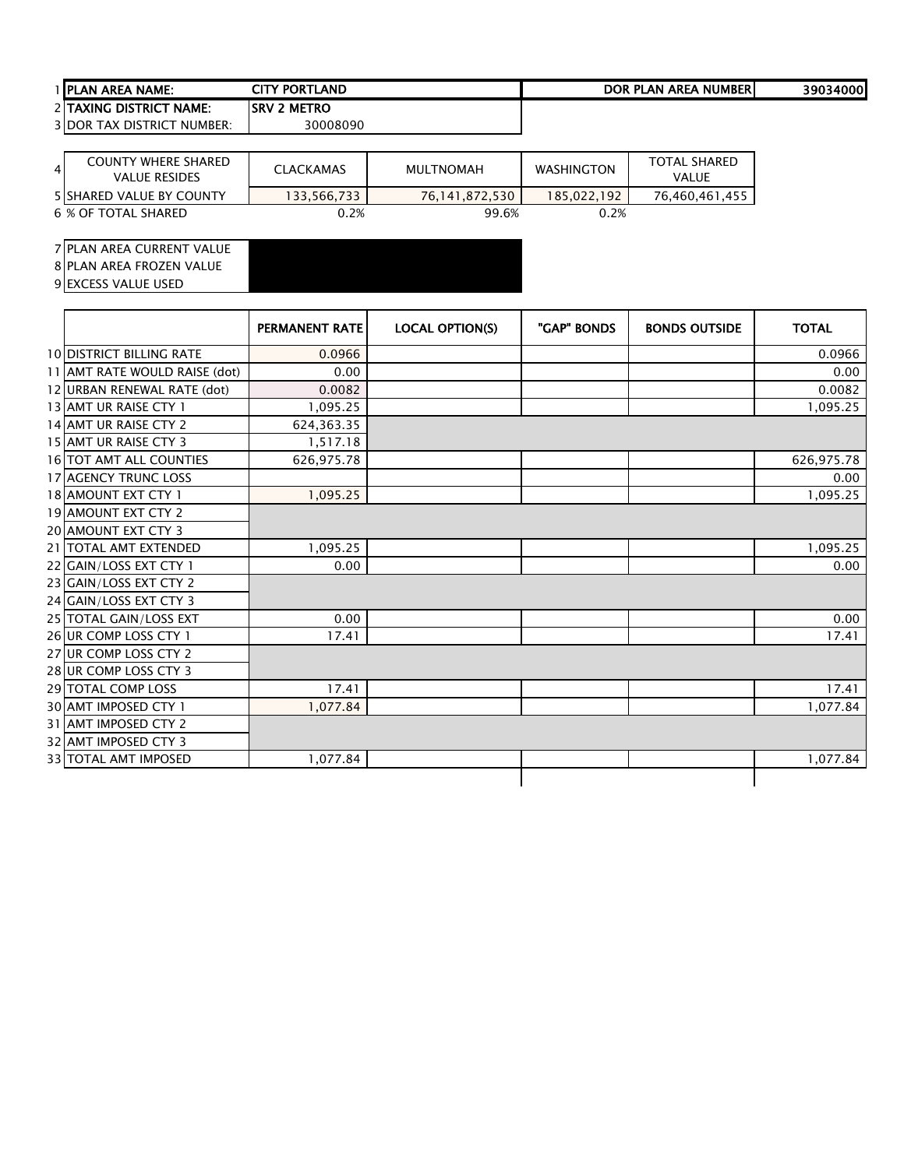| <b>TIPLAN AREA NAME:</b>               | CITY PORTLAND       | DOR PLAN AREA NUMBERI | 39034000 |
|----------------------------------------|---------------------|-----------------------|----------|
| 2 TAXING DISTRICT NAME:                | <b>ISRV 2 METRO</b> |                       |          |
| <b>3 DOR TAX DISTRICT</b><br>™ NUMBER: | 30008090            |                       |          |

| 4 | <b>COUNTY WHERE SHARED</b><br><b>VALUE RESIDES</b> | <b>CLACKAMAS</b> | <b>MULTNOMAH</b> | <b>WASHINGTON</b> | <b>TOTAL SHARED</b><br>VALUE |
|---|----------------------------------------------------|------------------|------------------|-------------------|------------------------------|
|   | <b>5 ISHARED VALUE BY COUNTY</b>                   | 133.566.733      | 76.141.872.530   | 185.022.192       | 76.460.461.455               |
|   | 6 % OF TOTAL SHARED                                | $0.2\%$          | 99.6%            | 0.2%              |                              |

## PLAN AREA CURRENT VALUE

PLAN AREA FROZEN VALUE

|                                 | <b>PERMANENT RATE</b> | <b>LOCAL OPTION(S)</b> | "GAP" BONDS | <b>BONDS OUTSIDE</b> | <b>TOTAL</b> |
|---------------------------------|-----------------------|------------------------|-------------|----------------------|--------------|
| <b>10 DISTRICT BILLING RATE</b> | 0.0966                |                        |             |                      | 0.0966       |
| 11 AMT RATE WOULD RAISE (dot)   | 0.00                  |                        |             |                      | 0.00         |
| 12 URBAN RENEWAL RATE (dot)     | 0.0082                |                        |             |                      | 0.0082       |
| 13 AMT UR RAISE CTY 1           | 1,095.25              |                        |             |                      | 1,095.25     |
| 14 AMT UR RAISE CTY 2           | 624,363.35            |                        |             |                      |              |
| 15 AMT UR RAISE CTY 3           | 1,517.18              |                        |             |                      |              |
| 16 TOT AMT ALL COUNTIES         | 626,975.78            |                        |             |                      | 626,975.78   |
| <b>17 AGENCY TRUNC LOSS</b>     |                       |                        |             |                      | 0.00         |
| 18 AMOUNT EXT CTY 1             | 1,095.25              |                        |             |                      | 1,095.25     |
| 19 AMOUNT EXT CTY 2             |                       |                        |             |                      |              |
| 20 AMOUNT EXT CTY 3             |                       |                        |             |                      |              |
| 21   TOTAL AMT EXTENDED         | 1,095.25              |                        |             |                      | 1,095.25     |
| 22 GAIN/LOSS EXT CTY 1          | 0.00                  |                        |             |                      | 0.00         |
| 23 GAIN/LOSS EXT CTY 2          |                       |                        |             |                      |              |
| 24 GAIN/LOSS EXT CTY 3          |                       |                        |             |                      |              |
| 25 TOTAL GAIN/LOSS EXT          | 0.00                  |                        |             |                      | 0.00         |
| 26 UR COMP LOSS CTY 1           | 17.41                 |                        |             |                      | 17.41        |
| 27 UR COMP LOSS CTY 2           |                       |                        |             |                      |              |
| 28 UR COMP LOSS CTY 3           |                       |                        |             |                      |              |
| <b>29 TOTAL COMP LOSS</b>       | 17.41                 |                        |             |                      | 17.41        |
| 30 AMT IMPOSED CTY 1            | 1,077.84              |                        |             |                      | 1,077.84     |
| 31 AMT IMPOSED CTY 2            |                       |                        |             |                      |              |
| 32 AMT IMPOSED CTY 3            |                       |                        |             |                      |              |
| <b>33 TOTAL AMT IMPOSED</b>     | 1,077.84              |                        |             |                      | 1,077.84     |
|                                 |                       |                        |             |                      |              |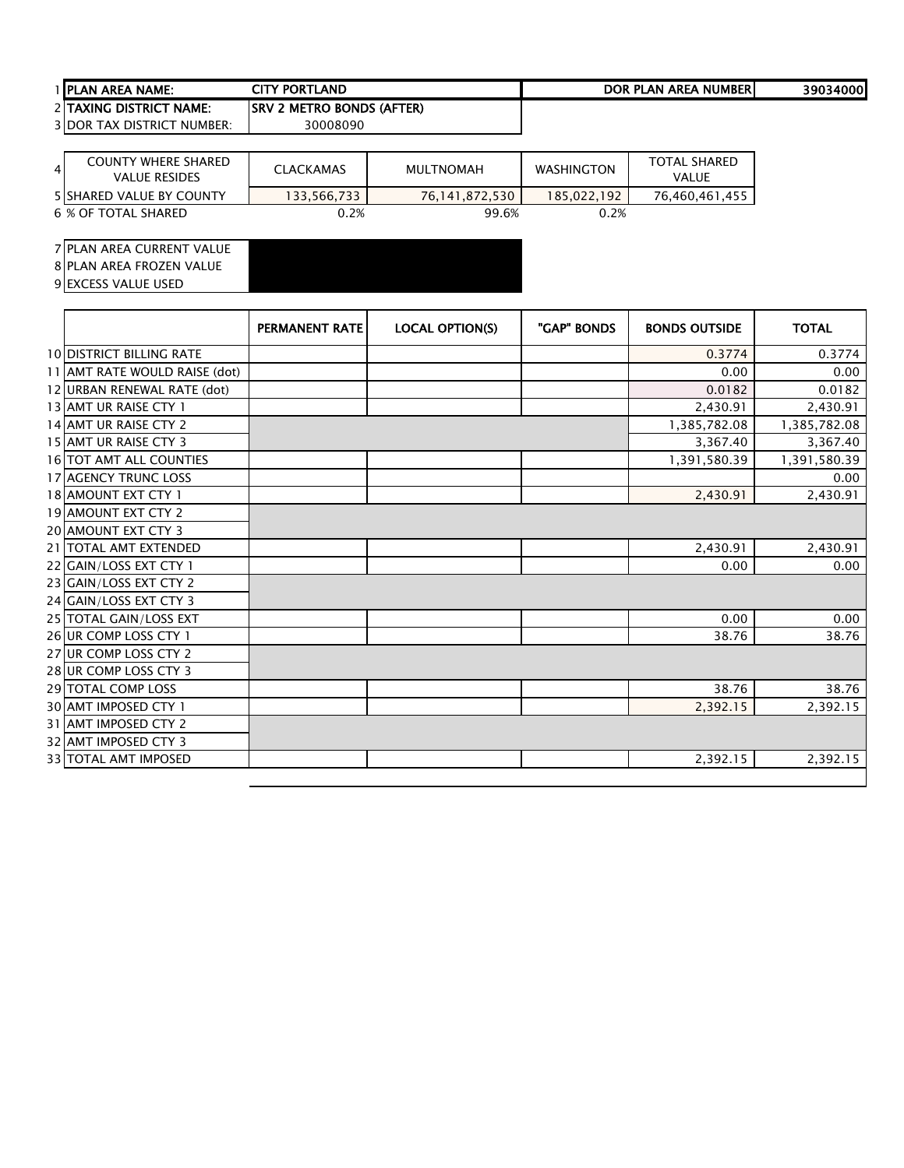| I IPLAN<br><b>AREA NAME:</b>      | CITY PORTLAND                                | <b>DOR PLAN AREA</b><br><b>NUMBER</b> | 39034000 |
|-----------------------------------|----------------------------------------------|---------------------------------------|----------|
| 2 TAXING<br><b>DISTRICT NAME:</b> | <b>BONDS (AFTER)</b><br>ISRV<br><b>METRO</b> |                                       |          |

| 4 <sup>1</sup> | <b>COUNTY WHERE SHARED</b><br><b>VALUE RESIDES</b> | <b>CLACKAMAS</b> | MULTNOMAH      | <b>WASHINGTON</b> | <b>TOTAL SHARED</b><br><b>VALUE</b> |
|----------------|----------------------------------------------------|------------------|----------------|-------------------|-------------------------------------|
|                | <b>5 SHARED VALUE BY COUNTY</b>                    | 133,566,733      | 76.141.872.530 | 185.022.192       | 76.460.461.455                      |
|                | 6 % OF TOTAL SHARED                                | 0.2%             | 99.6%          | 0.2%              |                                     |

#### PLAN AREA CURRENT VALUE

PLAN AREA FROZEN VALUE

|                                 | <b>PERMANENT RATE</b> | <b>LOCAL OPTION(S)</b> | "GAP" BONDS | <b>BONDS OUTSIDE</b> | <b>TOTAL</b> |
|---------------------------------|-----------------------|------------------------|-------------|----------------------|--------------|
| <b>10 DISTRICT BILLING RATE</b> |                       |                        |             | 0.3774               | 0.3774       |
| 11 AMT RATE WOULD RAISE (dot)   |                       |                        |             | 0.00                 | 0.00         |
| 12 URBAN RENEWAL RATE (dot)     |                       |                        |             | 0.0182               | 0.0182       |
| 13 AMT UR RAISE CTY 1           |                       |                        |             | 2,430.91             | 2,430.91     |
| 14 AMT UR RAISE CTY 2           |                       |                        |             | 1,385,782.08         | 1,385,782.08 |
| 15 AMT UR RAISE CTY 3           |                       |                        |             | 3,367.40             | 3,367.40     |
| <b>16 TOT AMT ALL COUNTIES</b>  |                       |                        |             | 1,391,580.39         | 1,391,580.39 |
| <b>17 AGENCY TRUNC LOSS</b>     |                       |                        |             |                      | 0.00         |
| 18 AMOUNT EXT CTY 1             |                       |                        |             | 2,430.91             | 2,430.91     |
| 19 AMOUNT EXT CTY 2             |                       |                        |             |                      |              |
| <b>20 AMOUNT EXT CTY 3</b>      |                       |                        |             |                      |              |
| 21 TOTAL AMT EXTENDED           |                       |                        |             | 2,430.91             | 2,430.91     |
| 22 GAIN/LOSS EXT CTY 1          |                       |                        |             | 0.00                 | 0.00         |
| 23 GAIN/LOSS EXT CTY 2          |                       |                        |             |                      |              |
| 24 GAIN/LOSS EXT CTY 3          |                       |                        |             |                      |              |
| 25 TOTAL GAIN/LOSS EXT          |                       |                        |             | 0.00                 | 0.00         |
| 26 UR COMP LOSS CTY 1           |                       |                        |             | 38.76                | 38.76        |
| 27 UR COMP LOSS CTY 2           |                       |                        |             |                      |              |
| 28 UR COMP LOSS CTY 3           |                       |                        |             |                      |              |
| <b>29 TOTAL COMP LOSS</b>       |                       |                        |             | 38.76                | 38.76        |
| 30 AMT IMPOSED CTY 1            |                       |                        |             | 2,392.15             | 2,392.15     |
| 31 AMT IMPOSED CTY 2            |                       |                        |             |                      |              |
| 32 AMT IMPOSED CTY 3            |                       |                        |             |                      |              |
| 33 TOTAL AMT IMPOSED            |                       |                        |             | 2,392.15             | 2,392.15     |